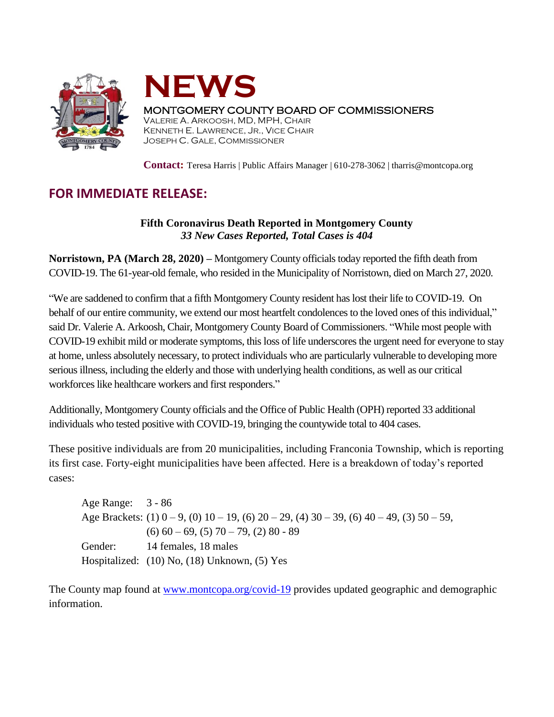



## MONTGOMERY COUNTY BOARD OF COMMISSIONERS

VALERIE A. ARKOOSH, MD, MPH, CHAIR KENNETH E. LAWRENCE, JR., VICE CHAIR JOSEPH C. GALE, COMMISSIONER

**Contact:** Teresa Harris | Public Affairs Manager | 610-278-3062 | tharris@montcopa.org

## **FOR IMMEDIATE RELEASE:**

## **Fifth Coronavirus Death Reported in Montgomery County** *33 New Cases Reported, Total Cases is 404*

**Norristown, PA (March 28, 2020) –** Montgomery County officials today reported the fifth death from COVID-19. The 61-year-old female, who resided in the Municipality of Norristown, died on March 27, 2020.

"We are saddened to confirm that a fifth Montgomery County resident has lost their life to COVID-19. On behalf of our entire community, we extend our most heartfelt condolences to the loved ones of this individual," said Dr. Valerie A. Arkoosh, Chair, Montgomery County Board of Commissioners. "While most people with COVID-19 exhibit mild or moderate symptoms, this loss of life underscores the urgent need for everyone to stay at home, unless absolutely necessary, to protect individuals who are particularly vulnerable to developing more serious illness, including the elderly and those with underlying health conditions, as well as our critical workforces like healthcare workers and first responders."

Additionally, Montgomery County officials and the Office of Public Health (OPH) reported 33 additional individuals who tested positive with COVID-19, bringing the countywide total to 404 cases.

These positive individuals are from 20 municipalities, including Franconia Township, which is reporting its first case. Forty-eight municipalities have been affected. Here is a breakdown of today's reported cases:

Age Range: 3 - 86 Age Brackets:  $(1)$   $0 - 9$ ,  $(0)$   $10 - 19$ ,  $(6)$   $20 - 29$ ,  $(4)$   $30 - 39$ ,  $(6)$   $40 - 49$ ,  $(3)$   $50 - 59$ ,  $(6)$  60 – 69, (5) 70 – 79, (2) 80 - 89 Gender: 14 females, 18 males Hospitalized: (10) No, (18) Unknown, (5) Yes

The County map found at [www.montcopa.org/covid-19](http://www.montcopa.org/covid-19) provides updated geographic and demographic information.